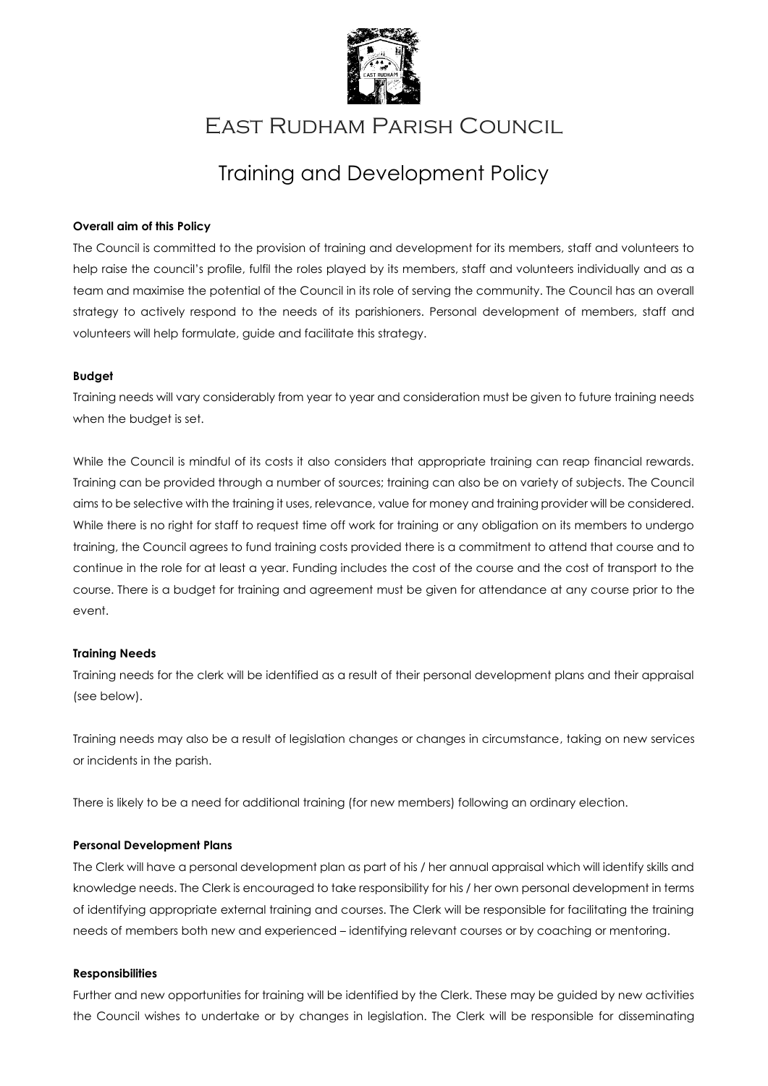

## East Rudham Parish Council

# Training and Development Policy

#### **Overall aim of this Policy**

The Council is committed to the provision of training and development for its members, staff and volunteers to help raise the council's profile, fulfil the roles played by its members, staff and volunteers individually and as a team and maximise the potential of the Council in its role of serving the community. The Council has an overall strategy to actively respond to the needs of its parishioners. Personal development of members, staff and volunteers will help formulate, guide and facilitate this strategy.

#### **Budget**

Training needs will vary considerably from year to year and consideration must be given to future training needs when the budget is set.

While the Council is mindful of its costs it also considers that appropriate training can reap financial rewards. Training can be provided through a number of sources; training can also be on variety of subjects. The Council aims to be selective with the training it uses, relevance, value for money and training provider will be considered. While there is no right for staff to request time off work for training or any obligation on its members to undergo training, the Council agrees to fund training costs provided there is a commitment to attend that course and to continue in the role for at least a year. Funding includes the cost of the course and the cost of transport to the course. There is a budget for training and agreement must be given for attendance at any course prior to the event.

#### **Training Needs**

Training needs for the clerk will be identified as a result of their personal development plans and their appraisal (see below).

Training needs may also be a result of legislation changes or changes in circumstance, taking on new services or incidents in the parish.

There is likely to be a need for additional training (for new members) following an ordinary election.

#### **Personal Development Plans**

The Clerk will have a personal development plan as part of his / her annual appraisal which will identify skills and knowledge needs. The Clerk is encouraged to take responsibility for his / her own personal development in terms of identifying appropriate external training and courses. The Clerk will be responsible for facilitating the training needs of members both new and experienced – identifying relevant courses or by coaching or mentoring.

#### **Responsibilities**

Further and new opportunities for training will be identified by the Clerk. These may be guided by new activities the Council wishes to undertake or by changes in legislation. The Clerk will be responsible for disseminating